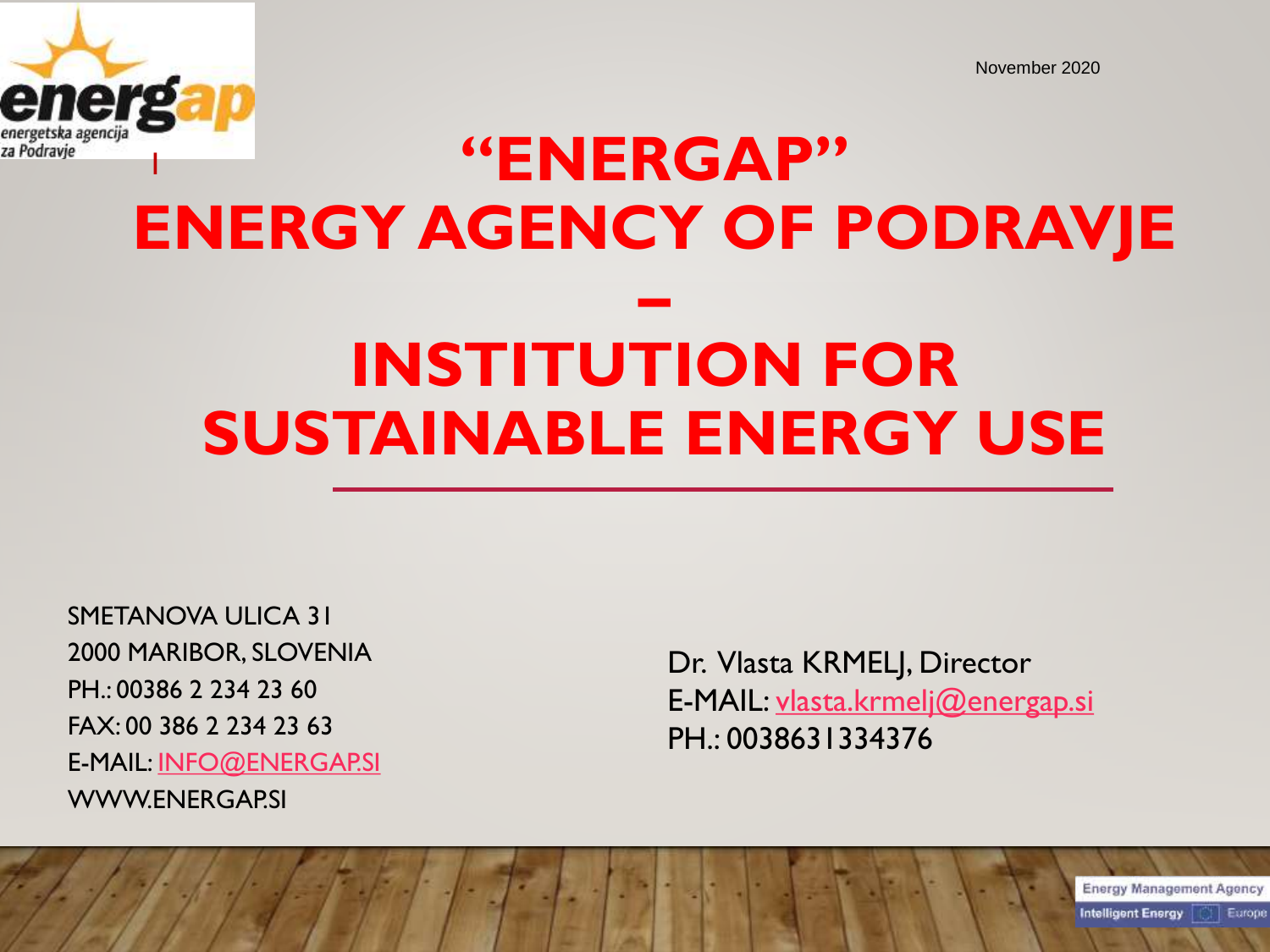

# <sup>1</sup> **"ENERGAP" ENERGY AGENCY OF PODRAVJE – INSTITUTION FOR SUSTAINABLE ENERGY USE**

SMETANOVA ULICA 31 2000 MARIBOR, SLOVENIA PH.: 00386 2 234 23 60 FAX: 00 386 2 234 23 63 E-MAIL: [INFO@ENERGAP.SI](mailto:info@energap.si) WWW.ENERGAP.SI

Dr. Vlasta KRMELJ, Director E-MAIL: [vlasta.krmelj@energap.si](mailto:vlasta.krmelj@energap.si) PH.: 0038631334376

**Energy Management Agency** 

Europe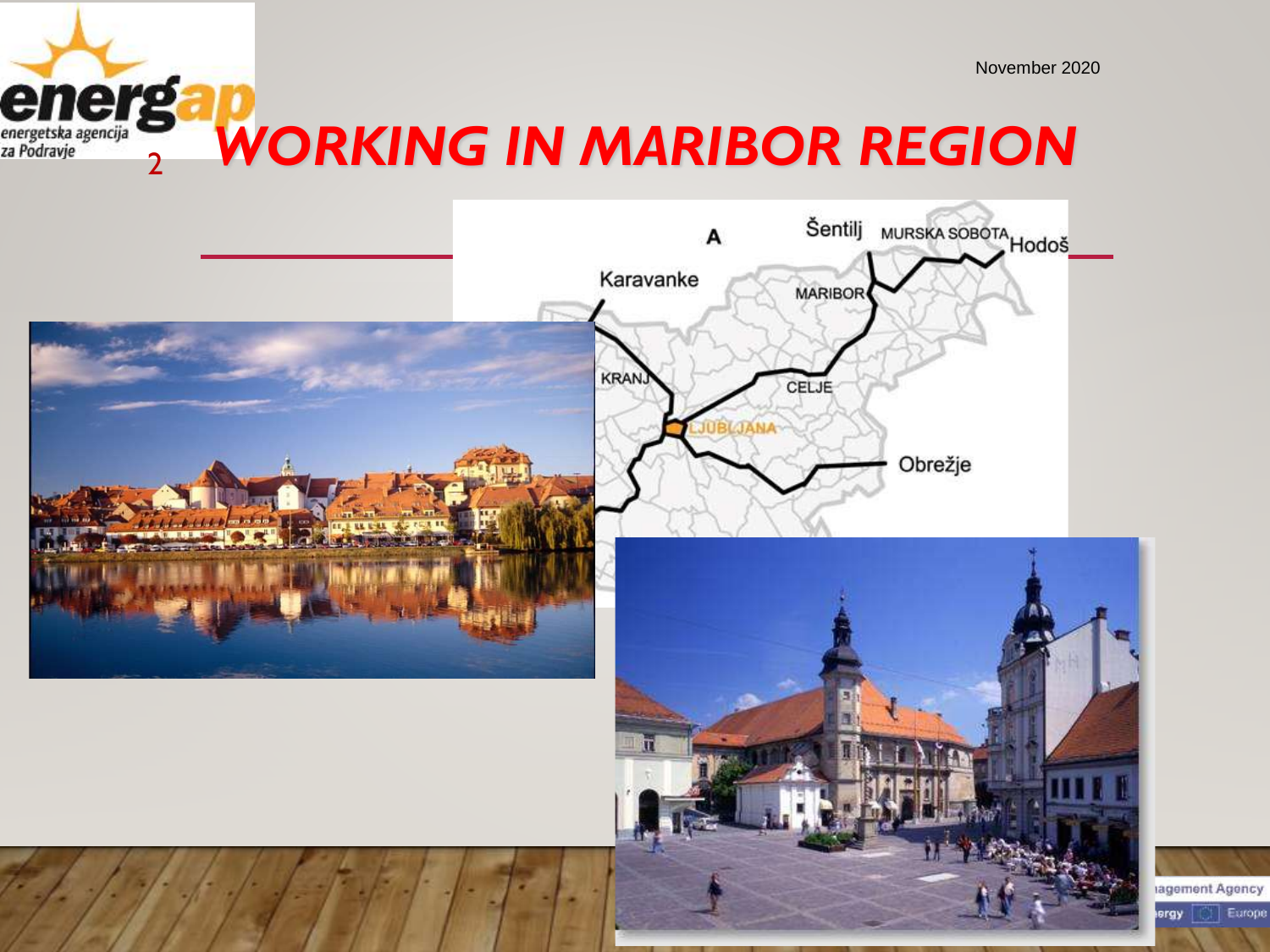Europe

#### <sup>2</sup> *WORKING IN MARIBOR REGION* energetska agencija<br>za Podravje

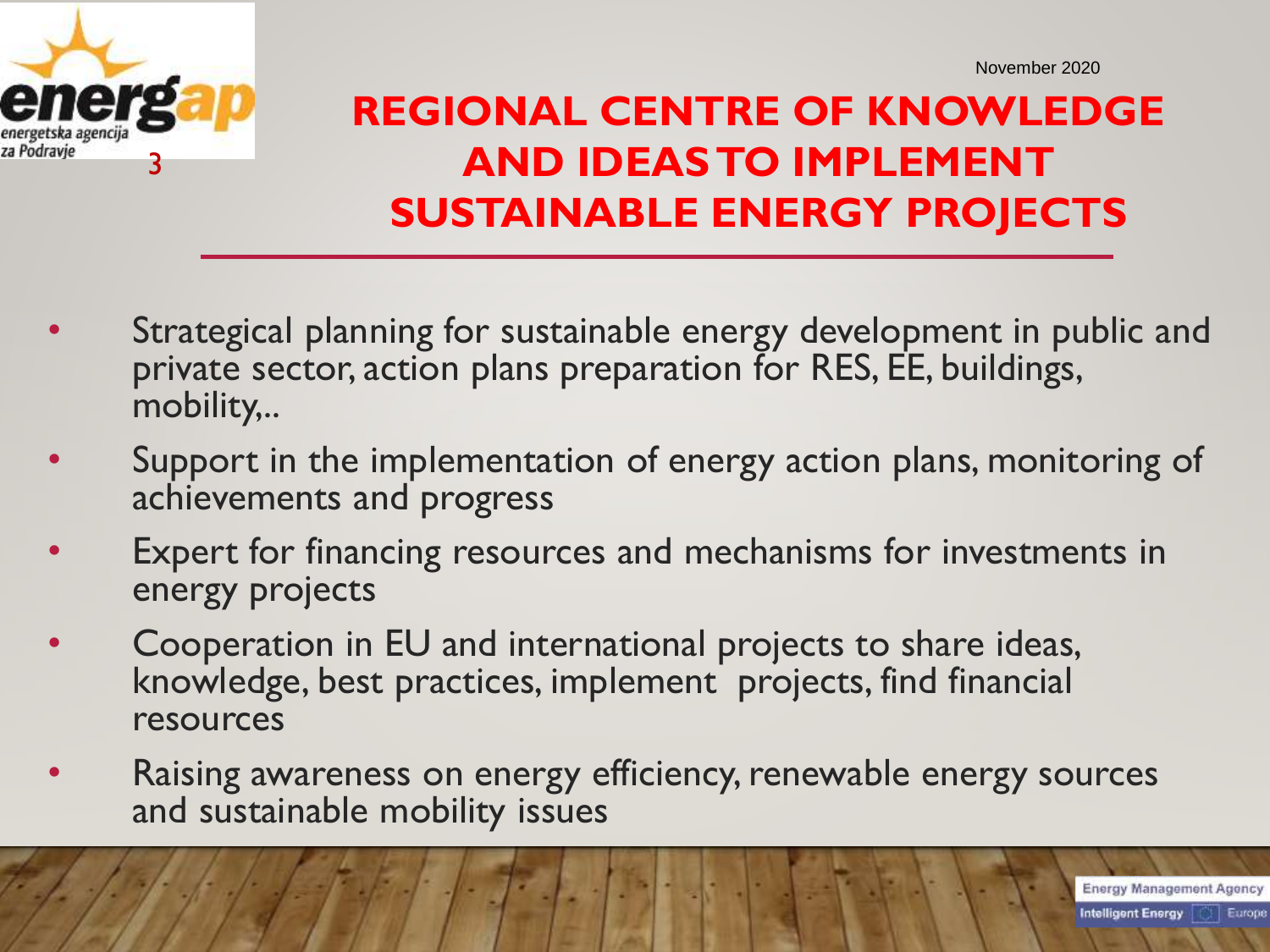

#### **REGIONAL CENTRE OF KNOWLEDGE AND IDEASTO IMPLEMENT SUSTAINABLE ENERGY PROJECTS**

- Strategical planning for sustainable energy development in public and private sector, action plans preparation for RES, EE, buildings, mobility,..
- Support in the implementation of energy action plans, monitoring of achievements and progress
- Expert for financing resources and mechanisms for investments in energy projects
- Cooperation in EU and international projects to share ideas, knowledge, best practices, implement projects, find financial resources
- Raising awareness on energy efficiency, renewable energy sources and sustainable mobility issues

**Energy Management Agency**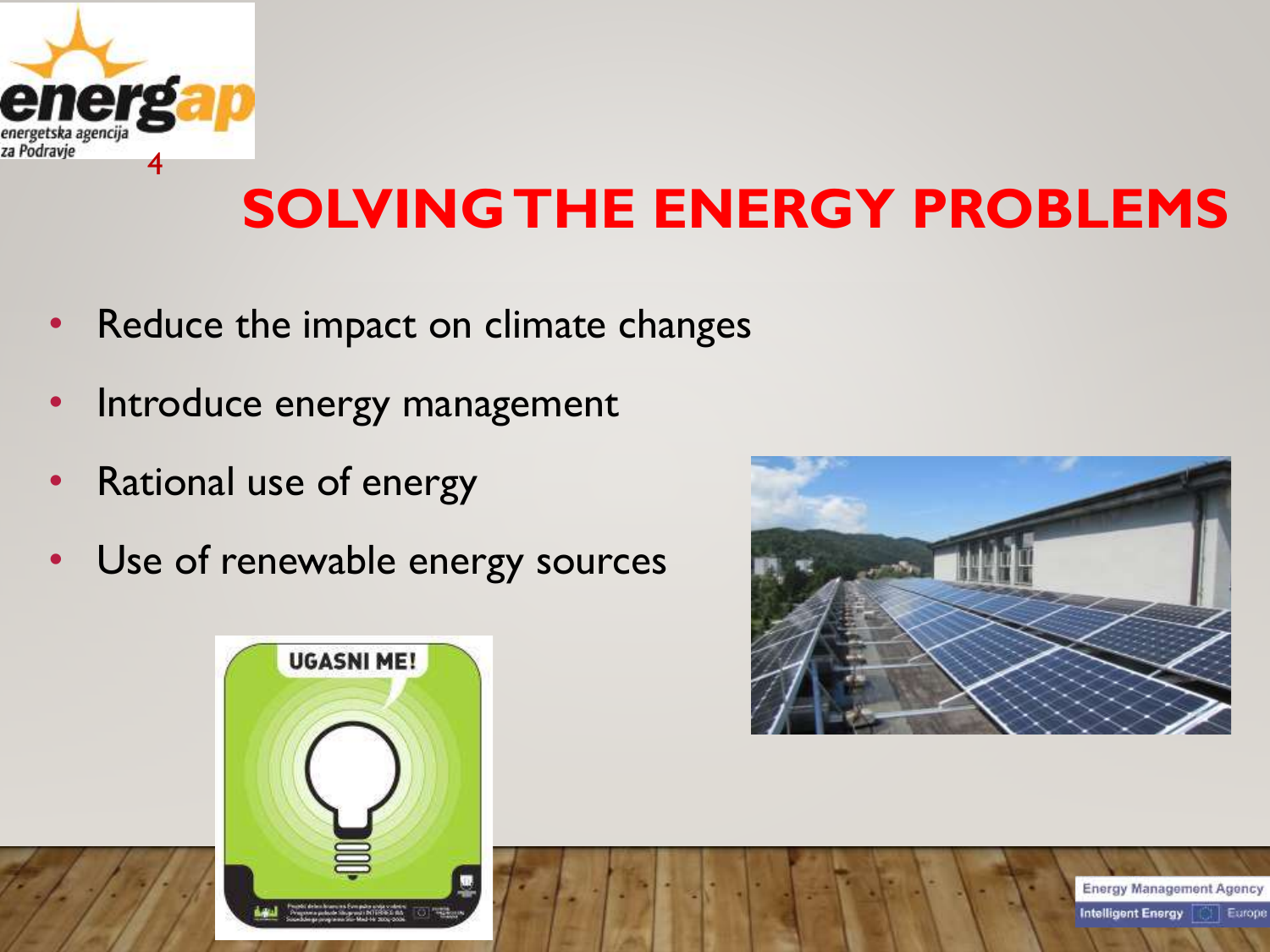

# **SOLVING THE ENERGY PROBLEMS**

- Reduce the impact on climate changes
- Introduce energy management
- Rational use of energy
- Use of renewable energy sources





**Energy Management Agency** Europe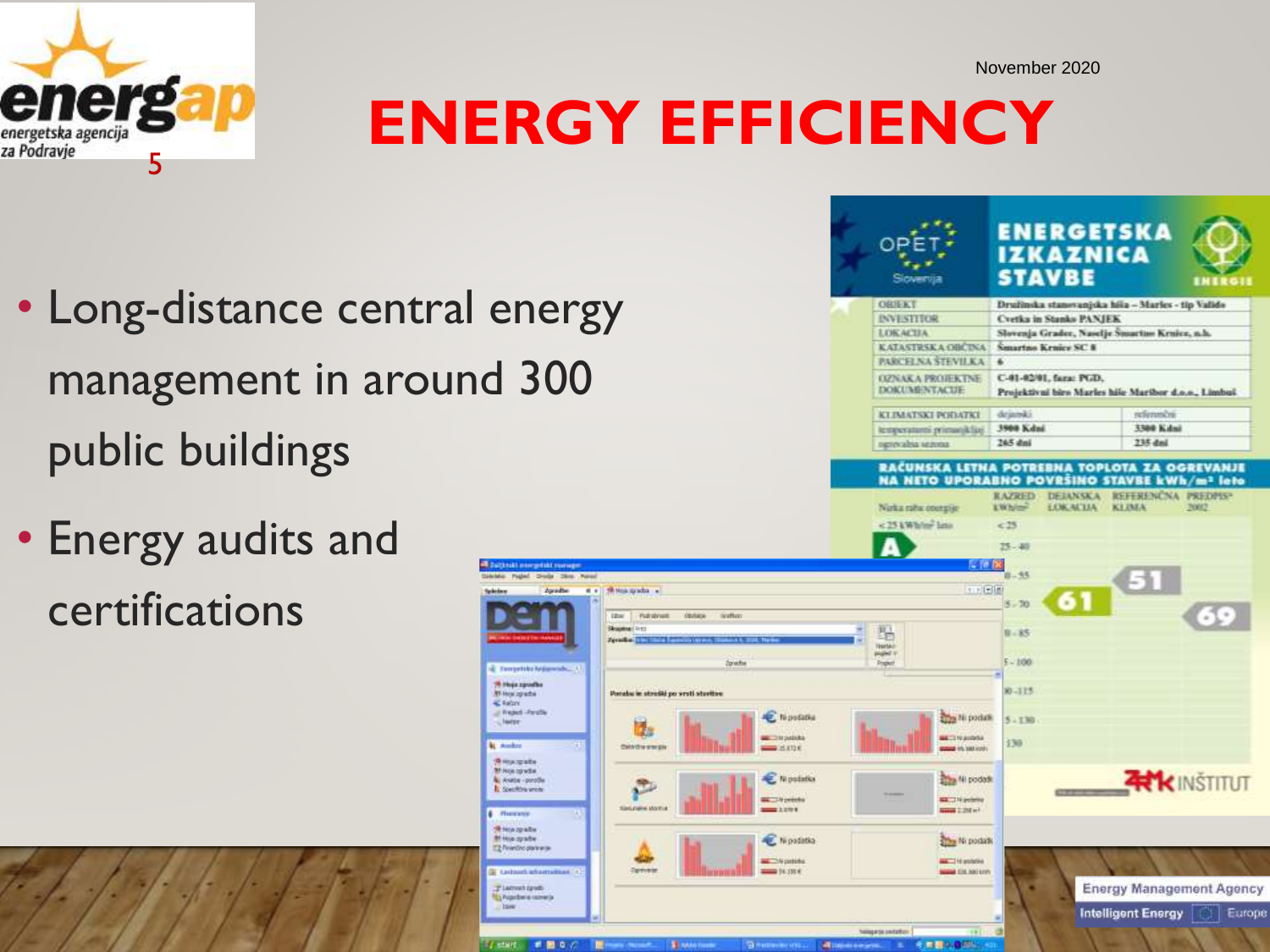

# **ENERGY EFFICIENCY**

• Long-distance central energy management in around 300 public buildings

**Baltimal interpriskl man** 

78 Hoja zgosla

**M** Hou grabe

**Simulpate** M Hos ip whe

L Anima - ponočke

T2 feardro parties

T Listown range L'y Pogodbene taziner

**IL Southba unos** 

**4 Photograph** th imagests Mikke crafts

 $E$  falm - Frederik - Forsche

**Neiday** 

**M. Angles** 

• Energy audits and certifications

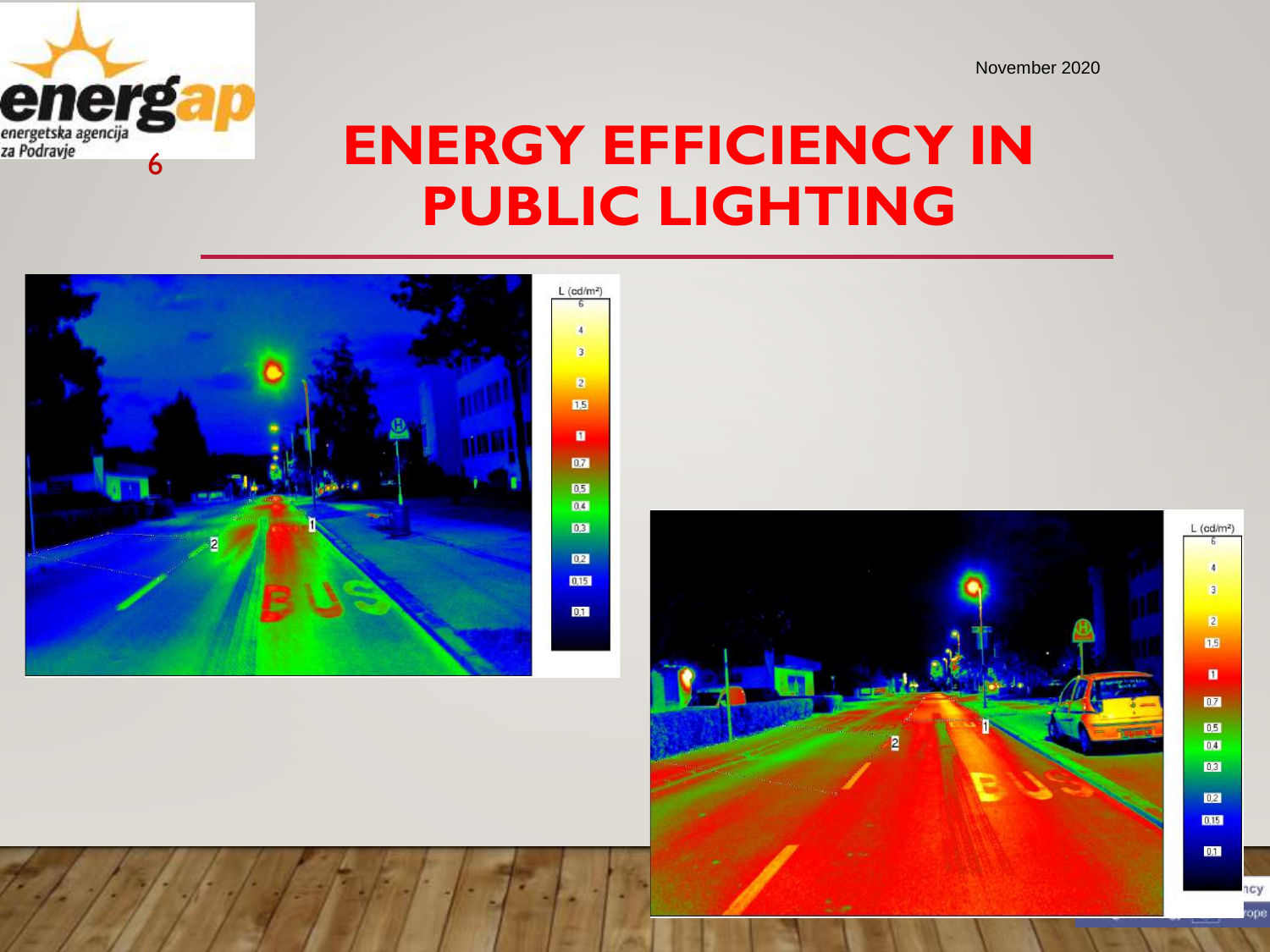

## **ENERGY EFFICIENCY IN PUBLIC LIGHTING**



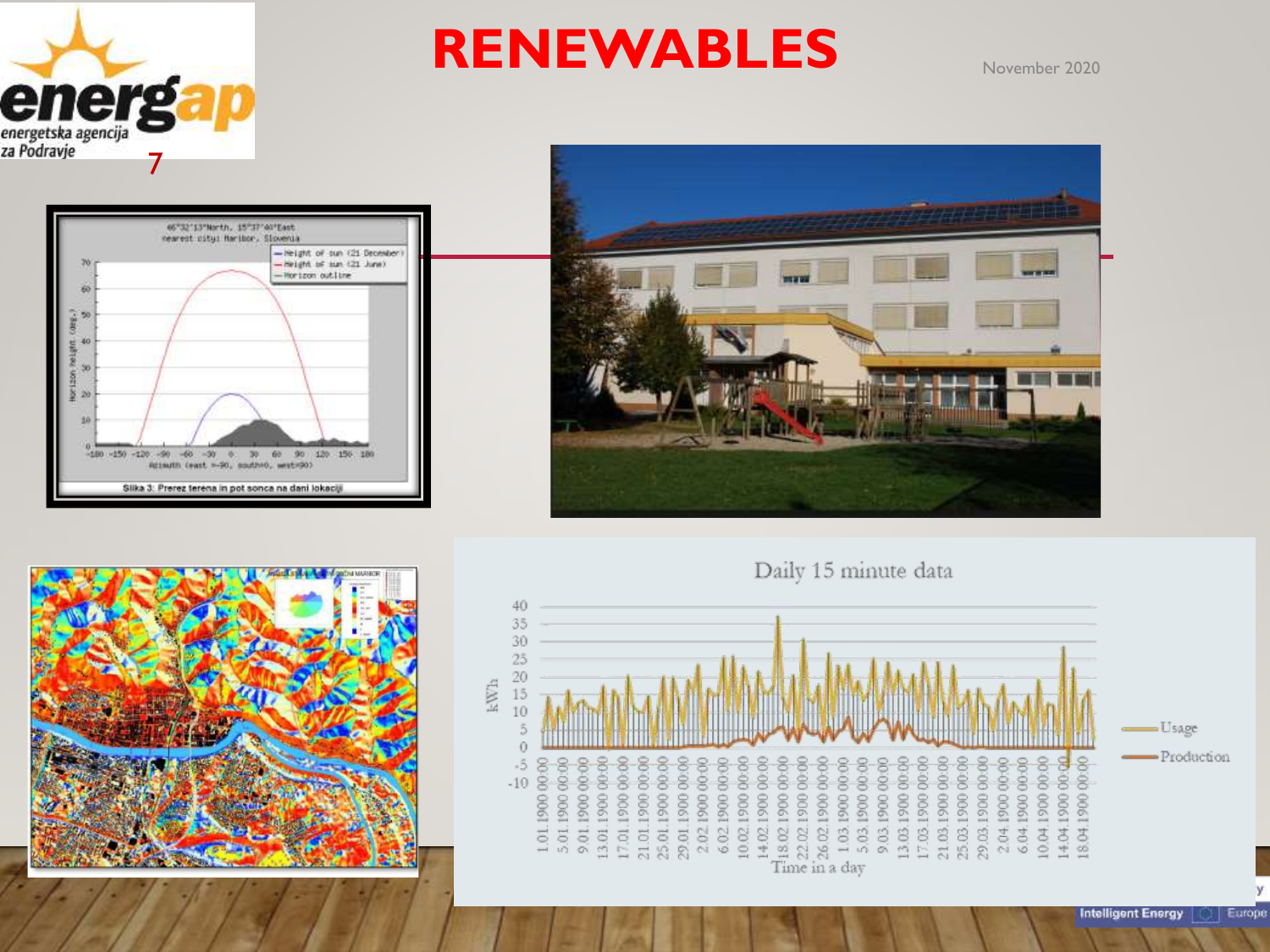

### RENEWABLES November 2020







Europe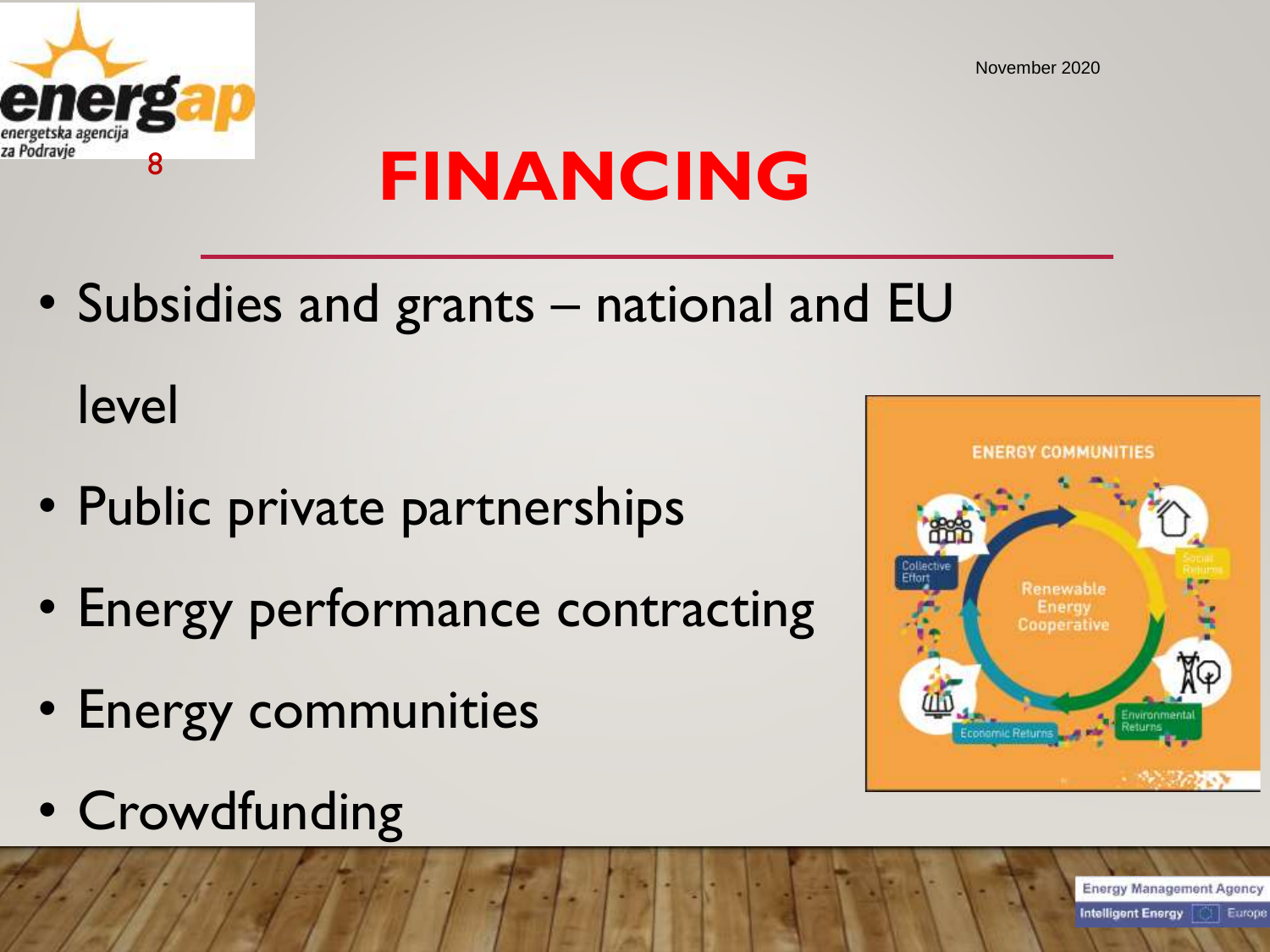

# **FINANCING**

• Subsidies and grants – national and EU

level

- Public private partnerships
- Energy performance contracting
- Energy communities
- Crowdfunding



**Energy Management Agency Intelligent Energy** Europe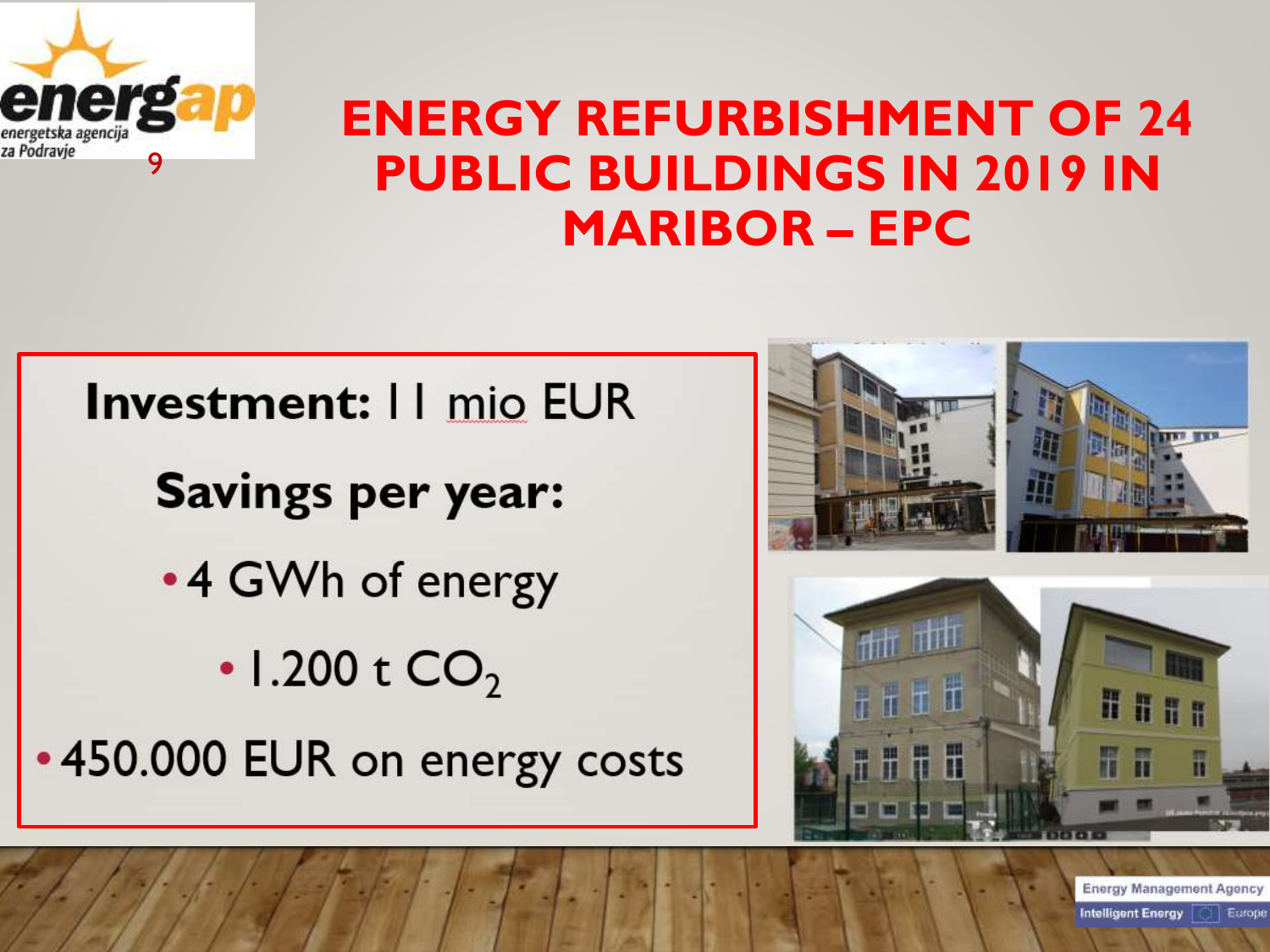

### **ENERGY REFURBISHMENT OF 24 PUBLIC BUILDINGS IN 2019 IN MARIBOR – EPC**

**Investment: II mio EUR Savings per year:** •4 GWh of energy • 1.200 t  $CO<sub>2</sub>$ •450.000 EUR on energy costs